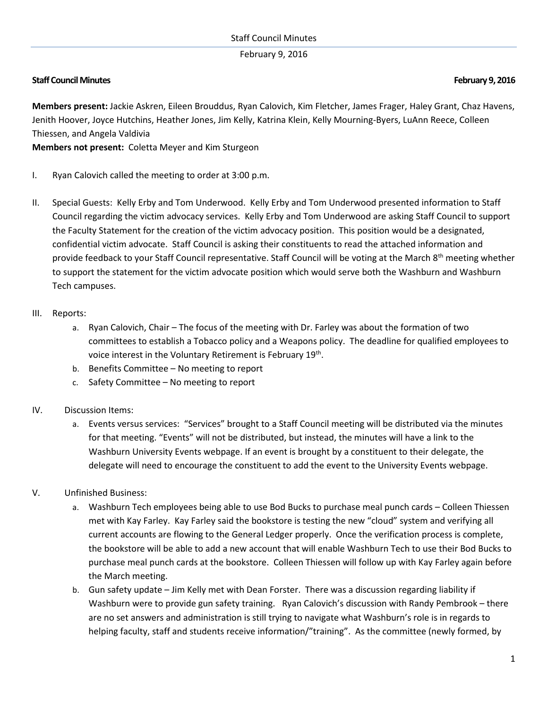# February 9, 2016

# **Staff Council Minutes February 9,2016**

**Members present:** Jackie Askren, Eileen Brouddus, Ryan Calovich, Kim Fletcher, James Frager, Haley Grant, Chaz Havens, Jenith Hoover, Joyce Hutchins, Heather Jones, Jim Kelly, Katrina Klein, Kelly Mourning-Byers, LuAnn Reece, Colleen Thiessen, and Angela Valdivia

**Members not present:** Coletta Meyer and Kim Sturgeon

- I. Ryan Calovich called the meeting to order at 3:00 p.m.
- II. Special Guests: Kelly Erby and Tom Underwood. Kelly Erby and Tom Underwood presented information to Staff Council regarding the victim advocacy services. Kelly Erby and Tom Underwood are asking Staff Council to support the Faculty Statement for the creation of the victim advocacy position. This position would be a designated, confidential victim advocate. Staff Council is asking their constituents to read the attached information and provide feedback to your Staff Council representative. Staff Council will be voting at the March 8<sup>th</sup> meeting whether to support the statement for the victim advocate position which would serve both the Washburn and Washburn Tech campuses.

#### III. Reports:

- a. Ryan Calovich, Chair The focus of the meeting with Dr. Farley was about the formation of two committees to establish a Tobacco policy and a Weapons policy. The deadline for qualified employees to voice interest in the Voluntary Retirement is February 19<sup>th</sup>.
- b. Benefits Committee No meeting to report
- c. Safety Committee No meeting to report

# IV. Discussion Items:

- a. Events versus services: "Services" brought to a Staff Council meeting will be distributed via the minutes for that meeting. "Events" will not be distributed, but instead, the minutes will have a link to the Washburn University Events webpage. If an event is brought by a constituent to their delegate, the delegate will need to encourage the constituent to add the event to the University Events webpage.
- V. Unfinished Business:
	- a. Washburn Tech employees being able to use Bod Bucks to purchase meal punch cards Colleen Thiessen met with Kay Farley. Kay Farley said the bookstore is testing the new "cloud" system and verifying all current accounts are flowing to the General Ledger properly. Once the verification process is complete, the bookstore will be able to add a new account that will enable Washburn Tech to use their Bod Bucks to purchase meal punch cards at the bookstore. Colleen Thiessen will follow up with Kay Farley again before the March meeting.
	- b. Gun safety update Jim Kelly met with Dean Forster. There was a discussion regarding liability if Washburn were to provide gun safety training. Ryan Calovich's discussion with Randy Pembrook – there are no set answers and administration is still trying to navigate what Washburn's role is in regards to helping faculty, staff and students receive information/"training". As the committee (newly formed, by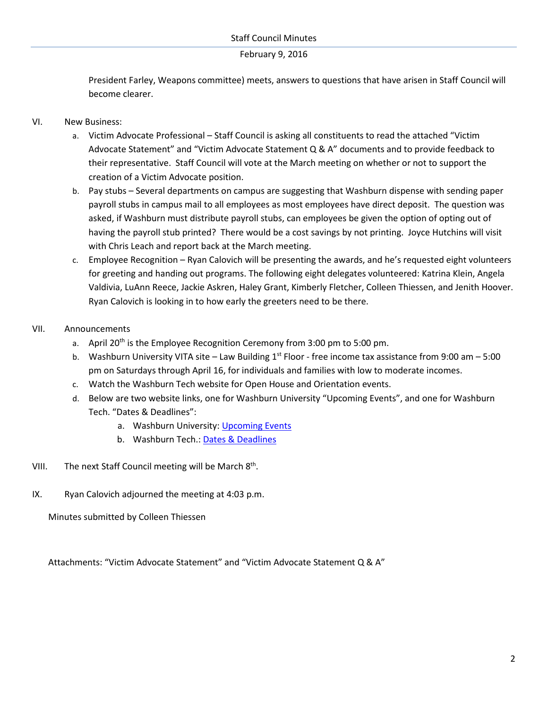### February 9, 2016

President Farley, Weapons committee) meets, answers to questions that have arisen in Staff Council will become clearer.

# VI. New Business:

- a. Victim Advocate Professional Staff Council is asking all constituents to read the attached "Victim Advocate Statement" and "Victim Advocate Statement Q & A" documents and to provide feedback to their representative. Staff Council will vote at the March meeting on whether or not to support the creation of a Victim Advocate position.
- b. Pay stubs Several departments on campus are suggesting that Washburn dispense with sending paper payroll stubs in campus mail to all employees as most employees have direct deposit. The question was asked, if Washburn must distribute payroll stubs, can employees be given the option of opting out of having the payroll stub printed? There would be a cost savings by not printing. Joyce Hutchins will visit with Chris Leach and report back at the March meeting.
- c. Employee Recognition Ryan Calovich will be presenting the awards, and he's requested eight volunteers for greeting and handing out programs. The following eight delegates volunteered: Katrina Klein, Angela Valdivia, LuAnn Reece, Jackie Askren, Haley Grant, Kimberly Fletcher, Colleen Thiessen, and Jenith Hoover. Ryan Calovich is looking in to how early the greeters need to be there.

# VII. Announcements

- a. April  $20^{th}$  is the Employee Recognition Ceremony from 3:00 pm to 5:00 pm.
- b. Washburn University VITA site Law Building  $1^{st}$  Floor free income tax assistance from 9:00 am 5:00 pm on Saturdays through April 16, for individuals and families with low to moderate incomes.
- c. Watch the Washburn Tech website for Open House and Orientation events.
- d. Below are two website links, one for Washburn University "Upcoming Events", and one for Washburn Tech. "Dates & Deadlines":
	- a. Washburn University: [Upcoming Events](http://washburn.edu/campus-life/events/index.html)
	- b. Washburn Tech.: [Dates & Deadlines](http://www.washburntech.edu/families/dates-deadlines.html)
- VIII. The next Staff Council meeting will be March 8<sup>th</sup>.
- IX. Ryan Calovich adjourned the meeting at 4:03 p.m.

Minutes submitted by Colleen Thiessen

Attachments: "Victim Advocate Statement" and "Victim Advocate Statement Q & A"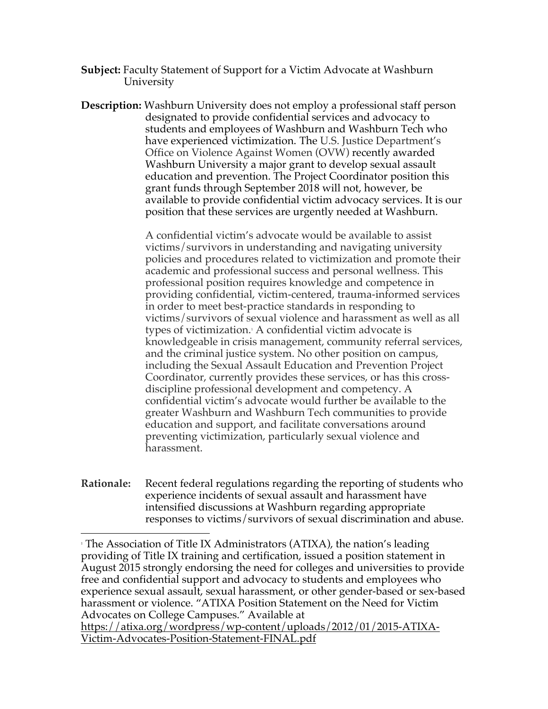- **Subject:** Faculty Statement of Support for a Victim Advocate at Washburn **University**
- **Description:** Washburn University does not employ a professional staff person designated to provide confidential services and advocacy to students and employees of Washburn and Washburn Tech who have experienced victimization. The U.S. Justice Department's Office on Violence Against Women (OVW) recently awarded Washburn University a major grant to develop sexual assault education and prevention. The Project Coordinator position this grant funds through September 2018 will not, however, be available to provide confidential victim advocacy services. It is our position that these services are urgently needed at Washburn.

A confidential victim's advocate would be available to assist victims/survivors in understanding and navigating university policies and procedures related to victimization and promote their academic and professional success and personal wellness. This professional position requires knowledge and competence in providing confidential, victim-centered, trauma-informed services in order to meet best-practice standards in responding to victims/survivors of sexual violence and harassment as well as all types of victimization.1 A confidential victim advocate is knowledgeable in crisis management, community referral services, and the criminal justice system. No other position on campus, including the Sexual Assault Education and Prevention Project Coordinator, currently provides these services, or has this crossdiscipline professional development and competency. A confidential victim's advocate would further be available to the greater Washburn and Washburn Tech communities to provide education and support, and facilitate conversations around preventing victimization, particularly sexual violence and harassment.

**Rationale:** Recent federal regulations regarding the reporting of students who experience incidents of sexual assault and harassment have intensified discussions at Washburn regarding appropriate responses to victims/survivors of sexual discrimination and abuse.

 $\overline{a}$ <sup>1</sup> The Association of Title IX Administrators (ATIXA), the nation's leading providing of Title IX training and certification, issued a position statement in August 2015 strongly endorsing the need for colleges and universities to provide free and confidential support and advocacy to students and employees who experience sexual assault, sexual harassment, or other gender-based or sex-based harassment or violence. "ATIXA Position Statement on the Need for Victim Advocates on College Campuses." Available at https://atixa.org/wordpress/wp-content/uploads/2012/01/2015-ATIXA-

Victim-Advocates-Position-Statement-FINAL.pdf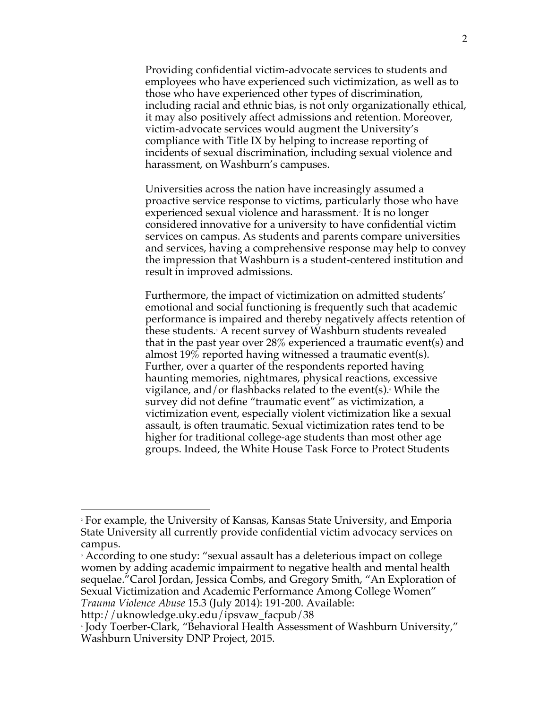Providing confidential victim-advocate services to students and employees who have experienced such victimization, as well as to those who have experienced other types of discrimination, including racial and ethnic bias, is not only organizationally ethical, it may also positively affect admissions and retention. Moreover, victim-advocate services would augment the University's compliance with Title IX by helping to increase reporting of incidents of sexual discrimination, including sexual violence and harassment, on Washburn's campuses.

Universities across the nation have increasingly assumed a proactive service response to victims, particularly those who have experienced sexual violence and harassment. <sup>2</sup> It is no longer considered innovative for a university to have confidential victim services on campus. As students and parents compare universities and services, having a comprehensive response may help to convey the impression that Washburn is a student-centered institution and result in improved admissions.

Furthermore, the impact of victimization on admitted students' emotional and social functioning is frequently such that academic performance is impaired and thereby negatively affects retention of these students. <sup>3</sup> A recent survey of Washburn students revealed that in the past year over 28% experienced a traumatic event(s) and almost 19% reported having witnessed a traumatic event(s). Further, over a quarter of the respondents reported having haunting memories, nightmares, physical reactions, excessive vigilance, and/or flashbacks related to the event(s). <sup>4</sup> While the survey did not define "traumatic event" as victimization, a victimization event, especially violent victimization like a sexual assault, is often traumatic. Sexual victimization rates tend to be higher for traditional college-age students than most other age groups. Indeed, the White House Task Force to Protect Students

 $\overline{a}$ 

<sup>2</sup> For example, the University of Kansas, Kansas State University, and Emporia State University all currently provide confidential victim advocacy services on campus.

<sup>3</sup> According to one study: "sexual assault has a deleterious impact on college women by adding academic impairment to negative health and mental health sequelae."Carol Jordan, Jessica Combs, and Gregory Smith, "An Exploration of Sexual Victimization and Academic Performance Among College Women" *Trauma Violence Abuse* 15.3 (July 2014): 191-200. Available:

http://uknowledge.uky.edu/ipsvaw\_facpub/38

<sup>4</sup> Jody Toerber-Clark, "Behavioral Health Assessment of Washburn University," Washburn University DNP Project, 2015.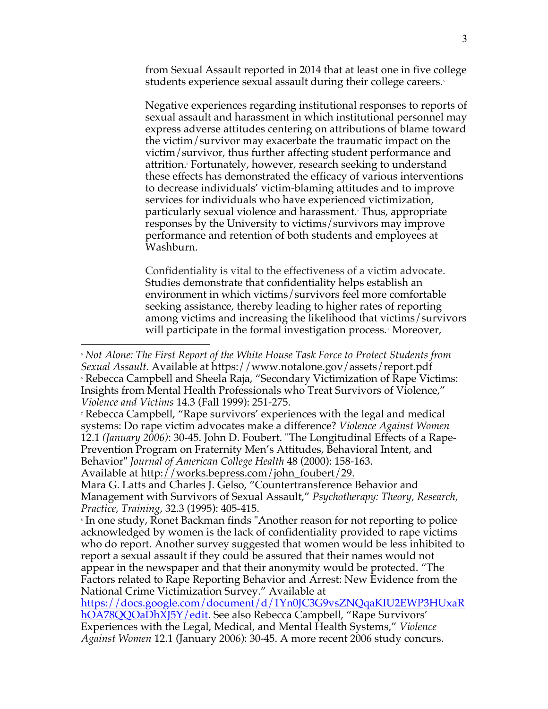from Sexual Assault reported in 2014 that at least one in five college students experience sexual assault during their college careers.<sup>5</sup>

Negative experiences regarding institutional responses to reports of sexual assault and harassment in which institutional personnel may express adverse attitudes centering on attributions of blame toward the victim/survivor may exacerbate the traumatic impact on the victim/survivor, thus further affecting student performance and attrition. Fortunately, however, research seeking to understand these effects has demonstrated the efficacy of various interventions to decrease individuals' victim-blaming attitudes and to improve services for individuals who have experienced victimization, particularly sexual violence and harassment.7 Thus, appropriate responses by the University to victims/survivors may improve performance and retention of both students and employees at Washburn.

Confidentiality is vital to the effectiveness of a victim advocate. Studies demonstrate that confidentiality helps establish an environment in which victims/survivors feel more comfortable seeking assistance, thereby leading to higher rates of reporting among victims and increasing the likelihood that victims/survivors will participate in the formal investigation process.<sup>8</sup> Moreover,

*Violence and Victims* 14.3 (Fall 1999): 251-275.<br><sup>7</sup> Rebecca Campbell, "Rape survivors' experiences with the legal and medical systems: Do rape victim advocates make a difference? *Violence Against Women*  12.1 *(January 2006)*: 30-45. John D. Foubert. "The Longitudinal Effects of a Rape-Prevention Program on Fraternity Men's Attitudes, Behavioral Intent, and Behavior" *Journal of American College Health* 48 (2000): 158-163.

Available at http://works.bepress.com/john\_foubert/29.

 $\overline{a}$ 

Mara G. Latts and Charles J. Gelso, "Countertransference Behavior and Management with Survivors of Sexual Assault," *Psychotherapy: Theory, Research, Practice, Training*, 32.3 (1995): 405-415.

<sup>5</sup> *Not Alone: The First Report of the White House Task Force to Protect Students from Sexual Assault*. Available at https://www.notalone.gov/assets/report.pdf<br>• Rebecca Campbell and Sheela Raja, "Secondary Victimization of Rape Victims: Insights from Mental Health Professionals who Treat Survivors of Violence,"

In one study, Ronet Backman finds "Another reason for not reporting to police acknowledged by women is the lack of confidentiality provided to rape victims who do report. Another survey suggested that women would be less inhibited to report a sexual assault if they could be assured that their names would not appear in the newspaper and that their anonymity would be protected. "The Factors related to Rape Reporting Behavior and Arrest: New Evidence from the National Crime Victimization Survey." Available at

https://docs.google.com/document/d/1Yn0JC3G9vsZNQqaKIU2EWP3HUxaR hOA78QQOaDhXJ5Y/edit. See also Rebecca Campbell, "Rape Survivors' Experiences with the Legal, Medical, and Mental Health Systems," *Violence Against Women* 12.1 (January 2006): 30-45. A more recent 2006 study concurs.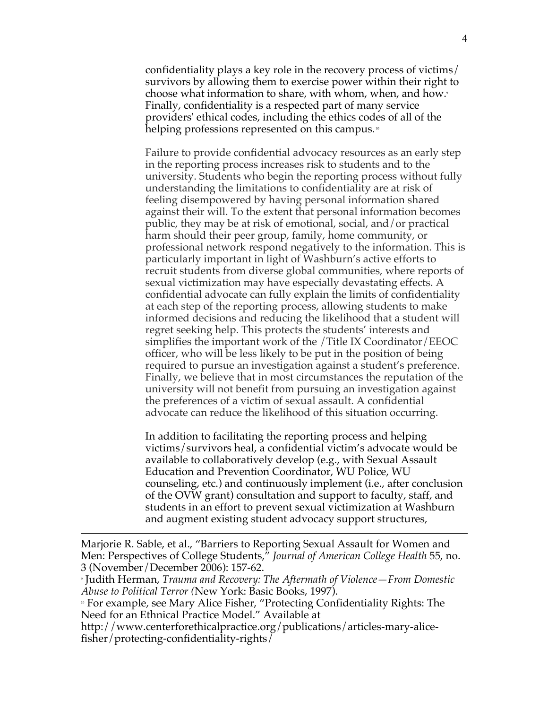confidentiality plays a key role in the recovery process of victims/ survivors by allowing them to exercise power within their right to choose what information to share, with whom, when, and how. Finally, confidentiality is a respected part of many service providers' ethical codes, including the ethics codes of all of the helping professions represented on this campus. $\sqrt[n]{\ }$ 

Failure to provide confidential advocacy resources as an early step in the reporting process increases risk to students and to the university. Students who begin the reporting process without fully understanding the limitations to confidentiality are at risk of feeling disempowered by having personal information shared against their will. To the extent that personal information becomes public, they may be at risk of emotional, social, and/or practical harm should their peer group, family, home community, or professional network respond negatively to the information. This is particularly important in light of Washburn's active efforts to recruit students from diverse global communities, where reports of sexual victimization may have especially devastating effects. A confidential advocate can fully explain the limits of confidentiality at each step of the reporting process, allowing students to make informed decisions and reducing the likelihood that a student will regret seeking help. This protects the students' interests and simplifies the important work of the /Title IX Coordinator/EEOC officer, who will be less likely to be put in the position of being required to pursue an investigation against a student's preference. Finally, we believe that in most circumstances the reputation of the university will not benefit from pursuing an investigation against the preferences of a victim of sexual assault. A confidential advocate can reduce the likelihood of this situation occurring.

In addition to facilitating the reporting process and helping victims/survivors heal, a confidential victim's advocate would be available to collaboratively develop (e.g., with Sexual Assault Education and Prevention Coordinator, WU Police, WU counseling, etc.) and continuously implement (i.e., after conclusion of the OVW grant) consultation and support to faculty, staff, and students in an effort to prevent sexual victimization at Washburn and augment existing student advocacy support structures,

 $\overline{a}$ 

http://www.centerforethicalpractice.org/publications/articles-mary-alicefisher/protecting-confidentiality-rights/

Marjorie R. Sable, et al., "Barriers to Reporting Sexual Assault for Women and Men: Perspectives of College Students," *Journal of American College Health* 55, no. 3 (November/December 2006): 157-62.

<sup>9</sup> Judith Herman, *Trauma and Recovery: The Aftermath of Violence—From Domestic Abuse to Political Terror (*New York: Basic Books, 1997).

<sup>10</sup> For example, see Mary Alice Fisher, "Protecting Confidentiality Rights: The Need for an Ethnical Practice Model." Available at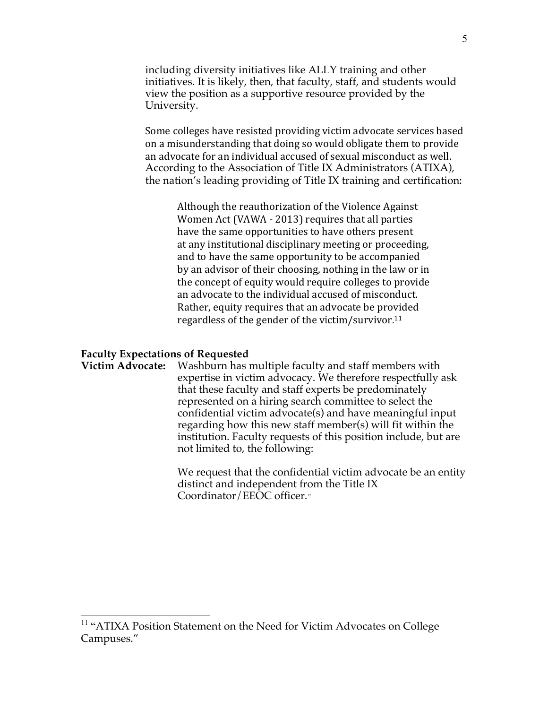including diversity initiatives like ALLY training and other initiatives. It is likely, then, that faculty, staff, and students would view the position as a supportive resource provided by the University.

Some colleges have resisted providing victim advocate services based on a misunderstanding that doing so would obligate them to provide an advocate for an individual accused of sexual misconduct as well. According to the Association of Title IX Administrators (ATIXA), the nation's leading providing of Title IX training and certification: 

> Although the reauthorization of the Violence Against Women Act (VAWA - 2013) requires that all parties have the same opportunities to have others present at any institutional disciplinary meeting or proceeding, and to have the same opportunity to be accompanied by an advisor of their choosing, nothing in the law or in the concept of equity would require colleges to provide an advocate to the individual accused of misconduct. Rather, equity requires that an advocate be provided regardless of the gender of the victim/survivor.<sup>11</sup>

# **Faculty Expectations of Requested**

**Victim Advocate:** Washburn has multiple faculty and staff members with expertise in victim advocacy. We therefore respectfully ask that these faculty and staff experts be predominately represented on a hiring search committee to select the confidential victim advocate(s) and have meaningful input regarding how this new staff member(s) will fit within the institution. Faculty requests of this position include, but are not limited to, the following:

> We request that the confidential victim advocate be an entity distinct and independent from the Title IX Coordinator/EEOC officer.<sup>12</sup>

<sup>&</sup>lt;sup>11</sup> "ATIXA Position Statement on the Need for Victim Advocates on College Campuses."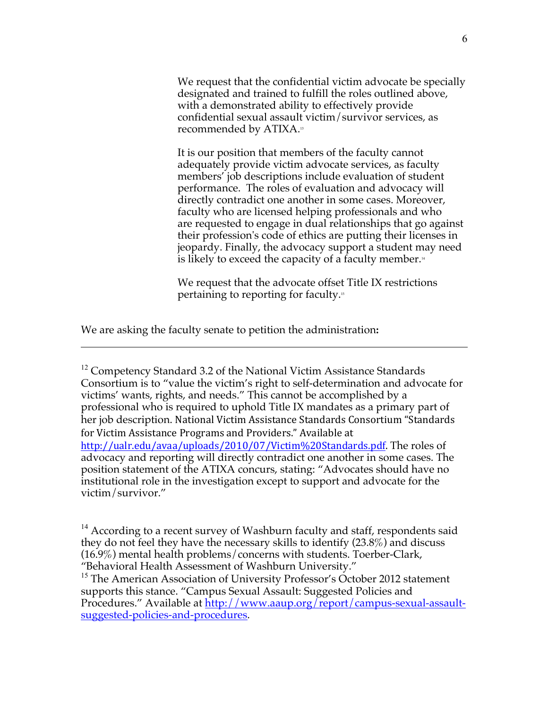We request that the confidential victim advocate be specially designated and trained to fulfill the roles outlined above, with a demonstrated ability to effectively provide confidential sexual assault victim/survivor services, as recommended by ATIXA. 13

It is our position that members of the faculty cannot adequately provide victim advocate services, as faculty members' job descriptions include evaluation of student performance. The roles of evaluation and advocacy will directly contradict one another in some cases. Moreover, faculty who are licensed helping professionals and who are requested to engage in dual relationships that go against their profession's code of ethics are putting their licenses in jeopardy. Finally, the advocacy support a student may need is likely to exceed the capacity of a faculty member. $44$ 

We request that the advocate offset Title IX restrictions pertaining to reporting for faculty.<sup>15</sup>

We are asking the faculty senate to petition the administration**:** 

 $\overline{a}$ 

 $12$  Competency Standard 3.2 of the National Victim Assistance Standards Consortium is to "value the victim's right to self-determination and advocate for victims' wants, rights, and needs." This cannot be accomplished by a professional who is required to uphold Title IX mandates as a primary part of her job description. National Victim Assistance Standards Consortium "Standards for Victim Assistance Programs and Providers." Available at http://ualr.edu/avaa/uploads/2010/07/Victim%20Standards.pdf. The roles of advocacy and reporting will directly contradict one another in some cases. The position statement of the ATIXA concurs, stating: "Advocates should have no institutional role in the investigation except to support and advocate for the victim/survivor."

 $14$  According to a recent survey of Washburn faculty and staff, respondents said they do not feel they have the necessary skills to identify (23.8%) and discuss (16.9%) mental health problems/concerns with students. Toerber-Clark, "Behavioral Health Assessment of Washburn University."

<sup>15</sup> The American Association of University Professor's October 2012 statement supports this stance. "Campus Sexual Assault: Suggested Policies and Procedures." Available at http://www.aaup.org/report/campus-sexual-assaultsuggested-policies-and-procedures.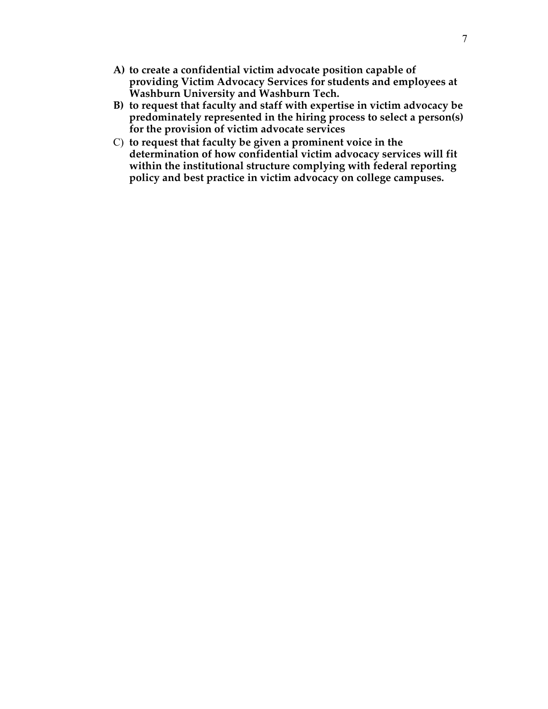- **A) to create a confidential victim advocate position capable of providing Victim Advocacy Services for students and employees at Washburn University and Washburn Tech.**
- **B) to request that faculty and staff with expertise in victim advocacy be predominately represented in the hiring process to select a person(s) for the provision of victim advocate services**
- C) **to request that faculty be given a prominent voice in the determination of how confidential victim advocacy services will fit within the institutional structure complying with federal reporting policy and best practice in victim advocacy on college campuses.**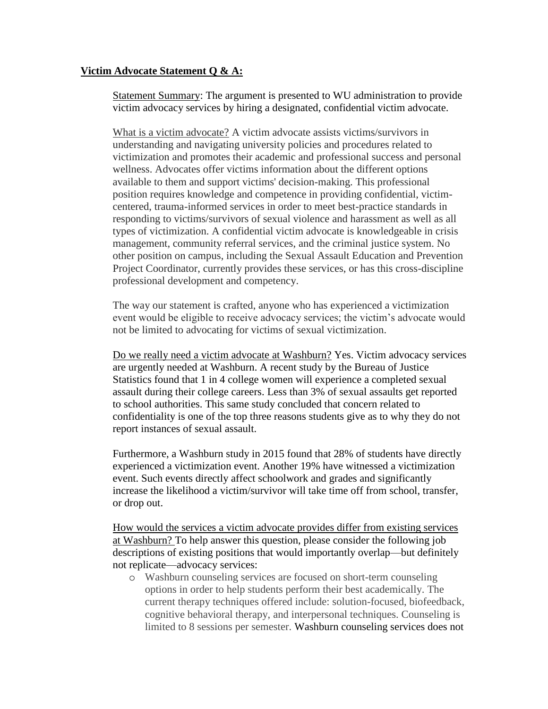# **Victim Advocate Statement Q & A:**

Statement Summary: The argument is presented to WU administration to provide victim advocacy services by hiring a designated, confidential victim advocate.

What is a victim advocate? A victim advocate assists victims/survivors in understanding and navigating university policies and procedures related to victimization and promotes their academic and professional success and personal wellness. Advocates offer victims information about the different options available to them and support victims' decision-making. This professional position requires knowledge and competence in providing confidential, victimcentered, trauma-informed services in order to meet best-practice standards in responding to victims/survivors of sexual violence and harassment as well as all types of victimization. A confidential victim advocate is knowledgeable in crisis management, community referral services, and the criminal justice system. No other position on campus, including the Sexual Assault Education and Prevention Project Coordinator, currently provides these services, or has this cross-discipline professional development and competency.

The way our statement is crafted, anyone who has experienced a victimization event would be eligible to receive advocacy services; the victim's advocate would not be limited to advocating for victims of sexual victimization.

Do we really need a victim advocate at Washburn? Yes. Victim advocacy services are urgently needed at Washburn. A recent study by the Bureau of Justice Statistics found that 1 in 4 college women will experience a completed sexual assault during their college careers. Less than 3% of sexual assaults get reported to school authorities. This same study concluded that concern related to confidentiality is one of the top three reasons students give as to why they do not report instances of sexual assault.

Furthermore, a Washburn study in 2015 found that 28% of students have directly experienced a victimization event. Another 19% have witnessed a victimization event. Such events directly affect schoolwork and grades and significantly increase the likelihood a victim/survivor will take time off from school, transfer, or drop out.

How would the services a victim advocate provides differ from existing services at Washburn? To help answer this question, please consider the following job descriptions of existing positions that would importantly overlap—but definitely not replicate—advocacy services:

o Washburn counseling services are focused on short-term counseling options in order to help students perform their best academically. The current therapy techniques offered include: solution-focused, biofeedback, cognitive behavioral therapy, and interpersonal techniques. Counseling is limited to 8 sessions per semester. Washburn counseling services does not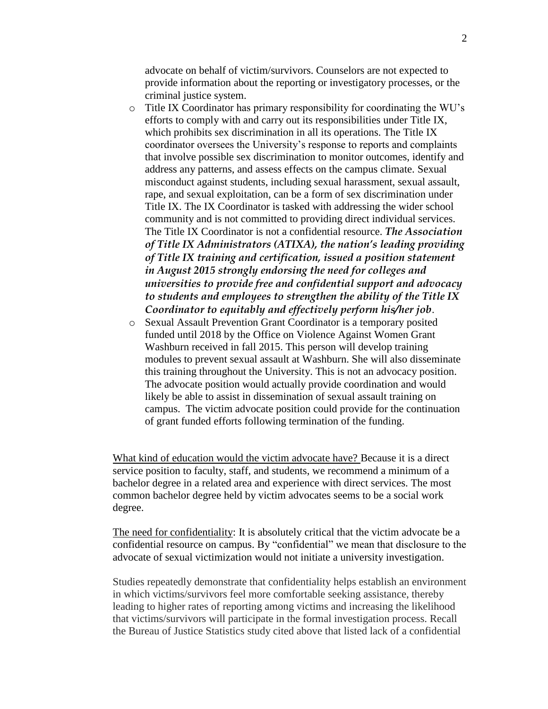advocate on behalf of victim/survivors. Counselors are not expected to provide information about the reporting or investigatory processes, or the criminal justice system.

- o Title IX Coordinator has primary responsibility for coordinating the WU's efforts to comply with and carry out its responsibilities under Title IX, which prohibits sex discrimination in all its operations. The Title IX coordinator oversees the University's response to reports and complaints that involve possible sex discrimination to monitor outcomes, identify and address any patterns, and assess effects on the campus climate. Sexual misconduct against students, including sexual harassment, sexual assault, rape, and sexual exploitation, can be a form of sex discrimination under Title IX. The IX Coordinator is tasked with addressing the wider school community and is not committed to providing direct individual services. The Title IX Coordinator is not a confidential resource. *The Association of Title IX Administrators (ATIXA), the nation's leading providing of Title IX training and certification, issued a position statement in August 2015 strongly endorsing the need for colleges and universities to provide free and confidential support and advocacy to students and employees to strengthen the ability of the Title IX Coordinator to equitably and effectively perform his/her job*.
- o Sexual Assault Prevention Grant Coordinator is a temporary posited funded until 2018 by the Office on Violence Against Women Grant Washburn received in fall 2015. This person will develop training modules to prevent sexual assault at Washburn. She will also disseminate this training throughout the University. This is not an advocacy position. The advocate position would actually provide coordination and would likely be able to assist in dissemination of sexual assault training on campus. The victim advocate position could provide for the continuation of grant funded efforts following termination of the funding.

What kind of education would the victim advocate have? Because it is a direct service position to faculty, staff, and students, we recommend a minimum of a bachelor degree in a related area and experience with direct services. The most common bachelor degree held by victim advocates seems to be a social work degree.

The need for confidentiality: It is absolutely critical that the victim advocate be a confidential resource on campus. By "confidential" we mean that disclosure to the advocate of sexual victimization would not initiate a university investigation.

Studies repeatedly demonstrate that confidentiality helps establish an environment in which victims/survivors feel more comfortable seeking assistance, thereby leading to higher rates of reporting among victims and increasing the likelihood that victims/survivors will participate in the formal investigation process. Recall the Bureau of Justice Statistics study cited above that listed lack of a confidential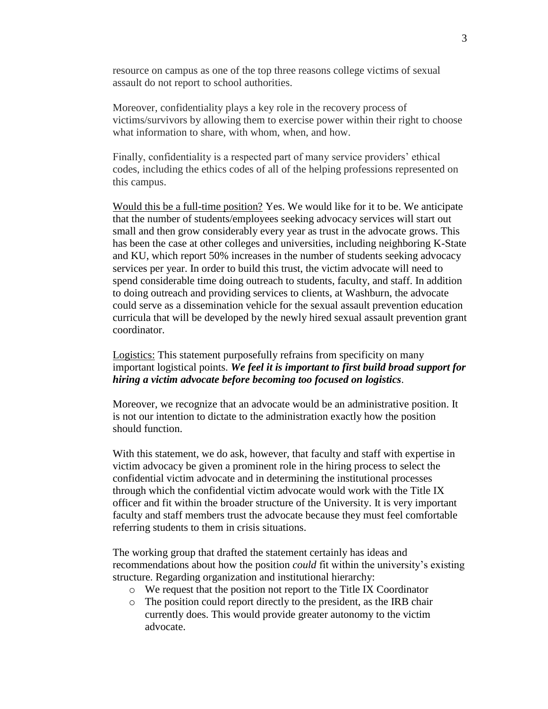resource on campus as one of the top three reasons college victims of sexual assault do not report to school authorities.

Moreover, confidentiality plays a key role in the recovery process of victims/survivors by allowing them to exercise power within their right to choose what information to share, with whom, when, and how.

Finally, confidentiality is a respected part of many service providers' ethical codes, including the ethics codes of all of the helping professions represented on this campus.

Would this be a full-time position? Yes. We would like for it to be. We anticipate that the number of students/employees seeking advocacy services will start out small and then grow considerably every year as trust in the advocate grows. This has been the case at other colleges and universities, including neighboring K-State and KU, which report 50% increases in the number of students seeking advocacy services per year. In order to build this trust, the victim advocate will need to spend considerable time doing outreach to students, faculty, and staff. In addition to doing outreach and providing services to clients, at Washburn, the advocate could serve as a dissemination vehicle for the sexual assault prevention education curricula that will be developed by the newly hired sexual assault prevention grant coordinator.

Logistics: This statement purposefully refrains from specificity on many important logistical points. *We feel it is important to first build broad support for hiring a victim advocate before becoming too focused on logistics*.

Moreover, we recognize that an advocate would be an administrative position. It is not our intention to dictate to the administration exactly how the position should function.

With this statement, we do ask, however, that faculty and staff with expertise in victim advocacy be given a prominent role in the hiring process to select the confidential victim advocate and in determining the institutional processes through which the confidential victim advocate would work with the Title IX officer and fit within the broader structure of the University. It is very important faculty and staff members trust the advocate because they must feel comfortable referring students to them in crisis situations.

The working group that drafted the statement certainly has ideas and recommendations about how the position *could* fit within the university's existing structure. Regarding organization and institutional hierarchy:

- o We request that the position not report to the Title IX Coordinator
- o The position could report directly to the president, as the IRB chair currently does. This would provide greater autonomy to the victim advocate.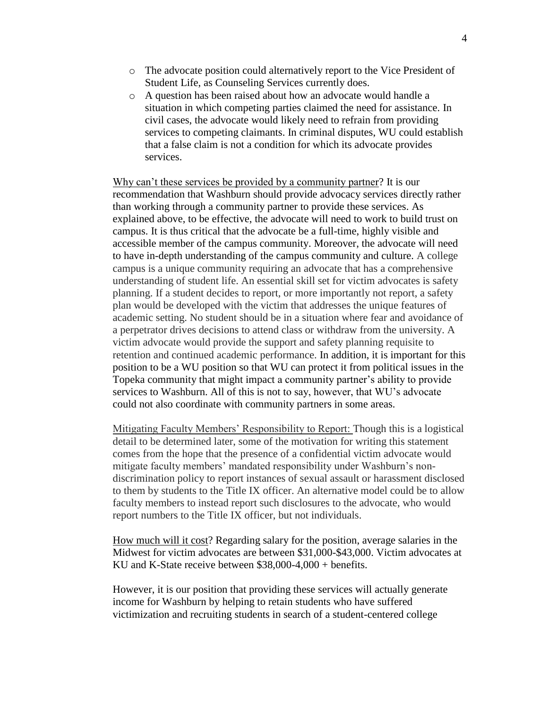- o The advocate position could alternatively report to the Vice President of Student Life, as Counseling Services currently does.
- o A question has been raised about how an advocate would handle a situation in which competing parties claimed the need for assistance. In civil cases, the advocate would likely need to refrain from providing services to competing claimants. In criminal disputes, WU could establish that a false claim is not a condition for which its advocate provides services.

Why can't these services be provided by a community partner? It is our recommendation that Washburn should provide advocacy services directly rather than working through a community partner to provide these services. As explained above, to be effective, the advocate will need to work to build trust on campus. It is thus critical that the advocate be a full-time, highly visible and accessible member of the campus community. Moreover, the advocate will need to have in-depth understanding of the campus community and culture. A college campus is a unique community requiring an advocate that has a comprehensive understanding of student life. An essential skill set for victim advocates is safety planning. If a student decides to report, or more importantly not report, a safety plan would be developed with the victim that addresses the unique features of academic setting. No student should be in a situation where fear and avoidance of a perpetrator drives decisions to attend class or withdraw from the university. A victim advocate would provide the support and safety planning requisite to retention and continued academic performance. In addition, it is important for this position to be a WU position so that WU can protect it from political issues in the Topeka community that might impact a community partner's ability to provide services to Washburn. All of this is not to say, however, that WU's advocate could not also coordinate with community partners in some areas.

Mitigating Faculty Members' Responsibility to Report: Though this is a logistical detail to be determined later, some of the motivation for writing this statement comes from the hope that the presence of a confidential victim advocate would mitigate faculty members' mandated responsibility under Washburn's nondiscrimination policy to report instances of sexual assault or harassment disclosed to them by students to the Title IX officer. An alternative model could be to allow faculty members to instead report such disclosures to the advocate, who would report numbers to the Title IX officer, but not individuals.

How much will it cost? Regarding salary for the position, average salaries in the Midwest for victim advocates are between \$31,000-\$43,000. Victim advocates at KU and K-State receive between \$38,000-4,000 + benefits.

However, it is our position that providing these services will actually generate income for Washburn by helping to retain students who have suffered victimization and recruiting students in search of a student-centered college